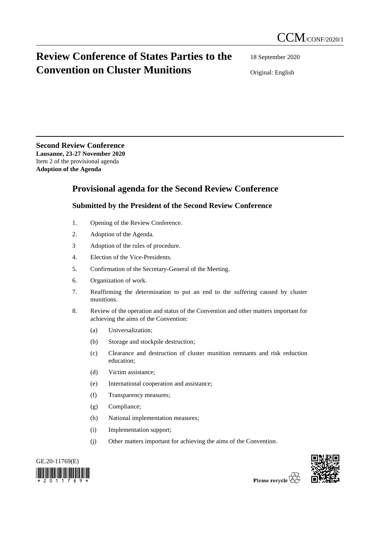## **Review Conference of States Parties to the Convention on Cluster Munitions**

18 September 2020

Original: English

**Second Review Conference Lausanne, 23-27 November 2020** Item 2 of the provisional agenda **Adoption of the Agenda**

## **Provisional agenda for the Second Review Conference**

## **Submitted by the President of the Second Review Conference**

- 1. Opening of the Review Conference.
- 2. Adoption of the Agenda.
- 3 Adoption of the rules of procedure.
- 4. Election of the Vice-Presidents.
- 5. Confirmation of the Secretary-General of the Meeting.
- 6. Organization of work.
- 7. Reaffirming the determination to put an end to the suffering caused by cluster munitions.
- 8. Review of the operation and status of the Convention and other matters important for achieving the aims of the Convention:
	- (a) Universalization;
	- (b) Storage and stockpile destruction;
	- (c) Clearance and destruction of cluster munition remnants and risk reduction education;
	- (d) Victim assistance;
	- (e) International cooperation and assistance;
	- (f) Transparency measures;
	- (g) Compliance;
	- (h) National implementation measures;
	- (i) Implementation support;
	- (j) Other matters important for achieving the aims of the Convention.